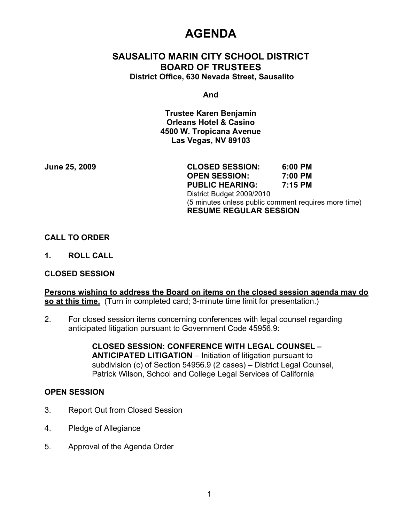# **AGENDA**

# **SAUSALITO MARIN CITY SCHOOL DISTRICT BOARD OF TRUSTEES District Office, 630 Nevada Street, Sausalito**

**And**

**Trustee Karen Benjamin Orleans Hotel & Casino 4500 W. Tropicana Avenue Las Vegas, NV 89103**

**June 25, 2009 CLOSED SESSION: 6:00 PM OPEN SESSION: 7:00 PM PUBLIC HEARING: 7:15 PM** District Budget 2009/2010 (5 minutes unless public comment requires more time) **RESUME REGULAR SESSION**

#### **CALL TO ORDER**

**1. ROLL CALL**

#### **CLOSED SESSION**

**Persons wishing to address the Board on items on the closed session agenda may do so at this time.** (Turn in completed card; 3-minute time limit for presentation.)

2. For closed session items concerning conferences with legal counsel regarding anticipated litigation pursuant to Government Code 45956.9:

> **CLOSED SESSION: CONFERENCE WITH LEGAL COUNSEL – ANTICIPATED LITIGATION** – Initiation of litigation pursuant to subdivision (c) of Section 54956.9 (2 cases) – District Legal Counsel, Patrick Wilson, School and College Legal Services of California

#### **OPEN SESSION**

- 3. Report Out from Closed Session
- 4. Pledge of Allegiance
- 5. Approval of the Agenda Order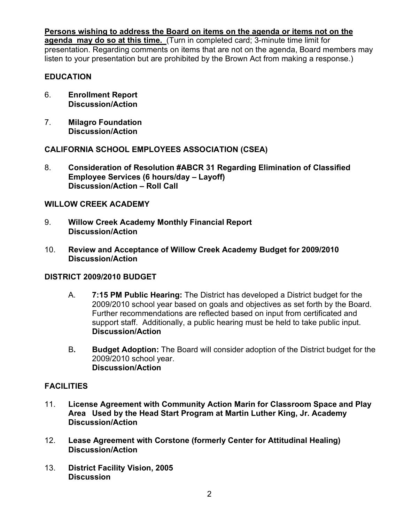**Persons wishing to address the Board on items on the agenda or items not on the** 

**agenda may do so at this time.** (Turn in completed card; 3-minute time limit for presentation. Regarding comments on items that are not on the agenda, Board members may listen to your presentation but are prohibited by the Brown Act from making a response.)

## **EDUCATION**

- 6. **Enrollment Report Discussion/Action**
- 7. **Milagro Foundation Discussion/Action**

# **CALIFORNIA SCHOOL EMPLOYEES ASSOCIATION (CSEA)**

8. **Consideration of Resolution #ABCR 31 Regarding Elimination of Classified Employee Services (6 hours/day – Layoff) Discussion/Action – Roll Call**

### **WILLOW CREEK ACADEMY**

- 9. **Willow Creek Academy Monthly Financial Report Discussion/Action**
- 10. **Review and Acceptance of Willow Creek Academy Budget for 2009/2010 Discussion/Action**

### **DISTRICT 2009/2010 BUDGET**

- A. **7:15 PM Public Hearing:** The District has developed a District budget for the 2009/2010 school year based on goals and objectives as set forth by the Board. Further recommendations are reflected based on input from certificated and support staff. Additionally, a public hearing must be held to take public input. **Discussion/Action**
- B**. Budget Adoption:** The Board will consider adoption of the District budget for the 2009/2010 school year. **Discussion/Action**

# **FACILITIES**

- 11. **License Agreement with Community Action Marin for Classroom Space and Play Area Used by the Head Start Program at Martin Luther King, Jr. Academy Discussion/Action**
- 12. **Lease Agreement with Corstone (formerly Center for Attitudinal Healing) Discussion/Action**
- 13. **District Facility Vision, 2005 Discussion**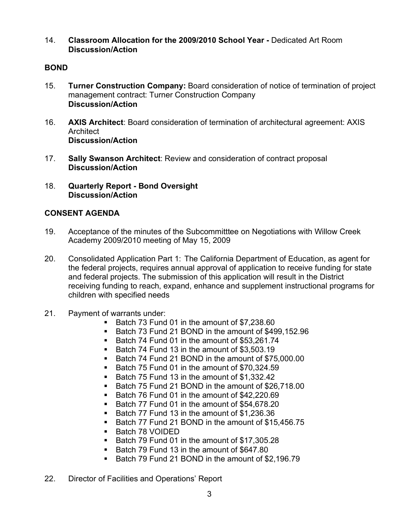14. **Classroom Allocation for the 2009/2010 School Year -** Dedicated Art Room **Discussion/Action**

## **BOND**

- 15. **Turner Construction Company:** Board consideration of notice of termination of project management contract: Turner Construction Company **Discussion/Action**
- 16. **AXIS Architect**: Board consideration of termination of architectural agreement: AXIS Architect **Discussion/Action**
- 17. **Sally Swanson Architect**: Review and consideration of contract proposal **Discussion/Action**
- 18. **Quarterly Report Bond Oversight Discussion/Action**

# **CONSENT AGENDA**

- 19. Acceptance of the minutes of the Subcommitttee on Negotiations with Willow Creek Academy 2009/2010 meeting of May 15, 2009
- 20. Consolidated Application Part 1: The California Department of Education, as agent for the federal projects, requires annual approval of application to receive funding for state and federal projects. The submission of this application will result in the District receiving funding to reach, expand, enhance and supplement instructional programs for children with specified needs
- 21. Payment of warrants under:
	- Batch 73 Fund 01 in the amount of \$7,238.60
	- Batch 73 Fund 21 BOND in the amount of \$499,152.96
	- Batch 74 Fund 01 in the amount of \$53,261.74
	- Batch 74 Fund 13 in the amount of \$3,503,19
	- Batch 74 Fund 21 BOND in the amount of \$75,000.00
	- Batch 75 Fund 01 in the amount of \$70,324.59
	- Batch 75 Fund 13 in the amount of \$1,332.42
	- Batch 75 Fund 21 BOND in the amount of \$26,718.00
	- Batch 76 Fund 01 in the amount of \$42,220.69
	- Batch 77 Fund 01 in the amount of \$54,678.20
	- Batch 77 Fund 13 in the amount of \$1,236.36
	- Batch 77 Fund 21 BOND in the amount of \$15,456,75
	- Batch 78 VOIDED
	- Batch 79 Fund 01 in the amount of \$17,305.28
	- Batch 79 Fund 13 in the amount of \$647.80
	- Batch 79 Fund 21 BOND in the amount of \$2,196.79
- 22. Director of Facilities and Operations' Report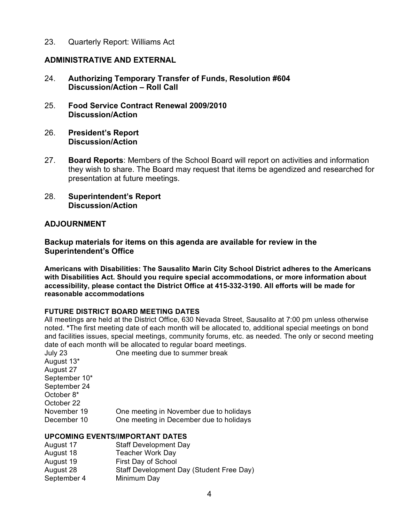23. Quarterly Report: Williams Act

## **ADMINISTRATIVE AND EXTERNAL**

- 24. **Authorizing Temporary Transfer of Funds, Resolution #604 Discussion/Action – Roll Call**
- 25. **Food Service Contract Renewal 2009/2010 Discussion/Action**
- 26. **President's Report Discussion/Action**
- 27. **Board Reports**: Members of the School Board will report on activities and information they wish to share. The Board may request that items be agendized and researched for presentation at future meetings.
- 28. **Superintendent's Report Discussion/Action**

### **ADJOURNMENT**

#### **Backup materials for items on this agenda are available for review in the Superintendent's Office**

**Americans with Disabilities: The Sausalito Marin City School District adheres to the Americans with Disabilities Act. Should you require special accommodations, or more information about accessibility, please contact the District Office at 415-332-3190. All efforts will be made for reasonable accommodations**

#### **FUTURE DISTRICT BOARD MEETING DATES**

All meetings are held at the District Office, 630 Nevada Street, Sausalito at 7:00 pm unless otherwise noted. **\***The first meeting date of each month will be allocated to, additional special meetings on bond and facilities issues, special meetings, community forums, etc. as needed. The only or second meeting date of each month will be allocated to regular board meetings.

| One meeting in November due to holidays |
|-----------------------------------------|
| One meeting in December due to holidays |
|                                         |

### **UPCOMING EVENTS/IMPORTANT DATES**

| <b>Staff Development Day</b>             |
|------------------------------------------|
| <b>Teacher Work Day</b>                  |
| First Day of School                      |
| Staff Development Day (Student Free Day) |
| Minimum Day                              |
|                                          |